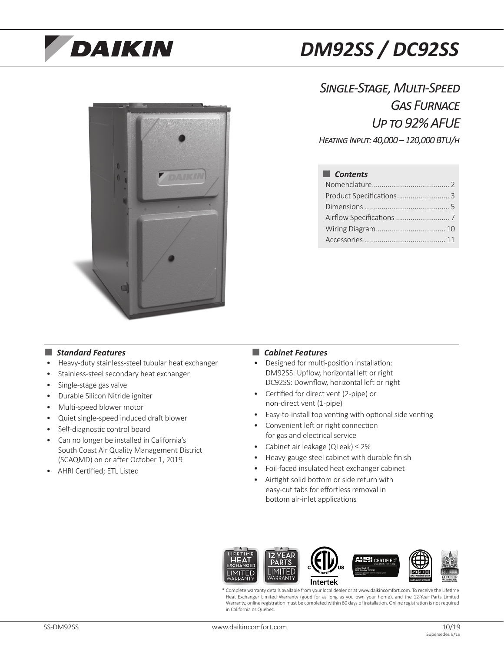# **DAIKIN**

# *DM92SS / DC92SS*



*Single-Stage, Multi-Speed Gas Furnace Up to 92% AFUE Heating Input: 40,000 – 120,000 BTU/h*

■ *Contents* Nomenclature........................................ 2 Product Specifications................................ 3 Dimensions............................................ 5 Airflow Specifications............................ 7 Wiring Diagram.................................... 10 Accessories.......................................... 11

### ■ *Standard Features* ■ **■** *Cabinet Features*

- Heavy-duty stainless-steel tubular heat exchanger
- Stainless-steel secondary heat exchanger
- Single-stage gas valve
- Durable Silicon Nitride igniter
- Multi-speed blower motor
- Quiet single-speed induced draft blower
- Self-diagnostic control board
- Can no longer be installed in California's South Coast Air Quality Management District (SCAQMD) on or after October 1, 2019
- AHRI Certified; ETL Listed

- Designed for multi-position installation: DM92SS: Upflow, horizontal left or right DC92SS: Downflow, horizontal left or right
- Certified for direct vent (2-pipe) or non-direct vent (1-pipe)
- Easy-to-install top venting with optional side venting
- Convenient left or right connection for gas and electrical service
- Cabinet air leakage (QLeak) ≤ 2%
- Heavy-gauge steel cabinet with durable finish
- Foil-faced insulated heat exchanger cabinet
- Airtight solid bottom or side return with easy-cut tabs for effortless removal in bottom air-inlet applications



\* Complete warranty details available from your local dealer or at www.daikincomfort.com. To receive the Lifetime Heat Exchanger Limited Warranty (good for as long as you own your home), and the 12-Year Parts Limited Warranty, online registration must be completed within 60 days of installation. Online registration is not required in California or Quebec.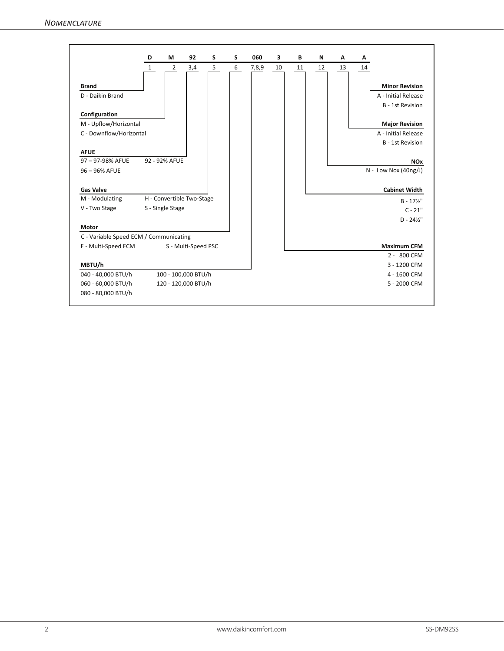|                                        | D            | М                | 92                        | S | S | 060   | 3  | В  | N  | Α  | Α  |                         |
|----------------------------------------|--------------|------------------|---------------------------|---|---|-------|----|----|----|----|----|-------------------------|
|                                        | $\mathbf{1}$ | $\overline{2}$   | 3,4                       | 5 | 6 | 7,8,9 | 10 | 11 | 12 | 13 | 14 |                         |
|                                        |              |                  |                           |   |   |       |    |    |    |    |    |                         |
| <b>Brand</b>                           |              |                  |                           |   |   |       |    |    |    |    |    | <b>Minor Revision</b>   |
| D - Daikin Brand                       |              |                  |                           |   |   |       |    |    |    |    |    | A - Initial Release     |
|                                        |              |                  |                           |   |   |       |    |    |    |    |    | <b>B</b> - 1st Revision |
| Configuration                          |              |                  |                           |   |   |       |    |    |    |    |    |                         |
| M - Upflow/Horizontal                  |              |                  |                           |   |   |       |    |    |    |    |    | <b>Major Revision</b>   |
| C - Downflow/Horizontal                |              |                  |                           |   |   |       |    |    |    |    |    | A - Initial Release     |
|                                        |              |                  |                           |   |   |       |    |    |    |    |    | <b>B</b> - 1st Revision |
| <b>AFUE</b>                            |              |                  |                           |   |   |       |    |    |    |    |    |                         |
| 97-97-98% AFUE                         |              | 92 - 92% AFUE    |                           |   |   |       |    |    |    |    |    | <b>NO<sub>x</sub></b>   |
| 96 - 96% AFUE                          |              |                  |                           |   |   |       |    |    |    |    |    | $N - Low Nov (40ng/J)$  |
|                                        |              |                  |                           |   |   |       |    |    |    |    |    |                         |
| <b>Gas Valve</b>                       |              |                  |                           |   |   |       |    |    |    |    |    | <b>Cabinet Width</b>    |
| M - Modulating                         |              |                  | H - Convertible Two-Stage |   |   |       |    |    |    |    |    | $B - 17\frac{1}{2}$     |
| V - Two Stage                          |              | S - Single Stage |                           |   |   |       |    |    |    |    |    | $C - 21"$               |
|                                        |              |                  |                           |   |   |       |    |    |    |    |    | $D - 24\frac{1}{2}$ "   |
| <b>Motor</b>                           |              |                  |                           |   |   |       |    |    |    |    |    |                         |
| C - Variable Speed ECM / Communicating |              |                  |                           |   |   |       |    |    |    |    |    |                         |
| E - Multi-Speed ECM                    |              |                  | S - Multi-Speed PSC       |   |   |       |    |    |    |    |    | <b>Maximum CFM</b>      |
|                                        |              |                  |                           |   |   |       |    |    |    |    |    | 2 - 800 CFM             |
| MBTU/h                                 |              |                  |                           |   |   |       |    |    |    |    |    | 3 - 1200 CFM            |
| 040 - 40,000 BTU/h                     |              |                  | 100 - 100,000 BTU/h       |   |   |       |    |    |    |    |    | 4 - 1600 CFM            |
| 060 - 60,000 BTU/h                     |              |                  | 120 - 120,000 BTU/h       |   |   |       |    |    |    |    |    | 5 - 2000 CFM            |
| 080 - 80,000 BTU/h                     |              |                  |                           |   |   |       |    |    |    |    |    |                         |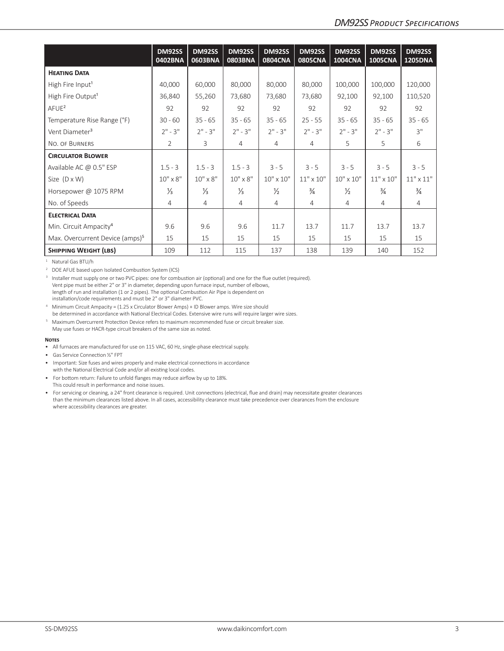|                                             | DM92SS<br>0402BNA | DM92SS<br>0603BNA | <b>DM92SS</b><br>0803BNA | DM92SS<br>0804CNA  | <b>DM92SS</b><br><b>0805CNA</b> | <b>DM92SS</b><br><b>1004CNA</b> | <b>DM92SS</b><br><b>1005CNA</b> | DM92SS<br><b>1205DNA</b> |
|---------------------------------------------|-------------------|-------------------|--------------------------|--------------------|---------------------------------|---------------------------------|---------------------------------|--------------------------|
| <b>HEATING DATA</b>                         |                   |                   |                          |                    |                                 |                                 |                                 |                          |
| High Fire Input <sup>1</sup>                | 40,000            | 60,000            | 80,000                   | 80,000             | 80,000                          | 100,000                         | 100,000                         | 120,000                  |
| High Fire Output <sup>1</sup>               | 36,840            | 55,260            | 73,680                   | 73,680             | 73,680                          | 92,100                          | 92,100                          | 110,520                  |
| $A$ FUE <sup>2</sup>                        | 92                | 92                | 92                       | 92                 | 92                              | 92                              | 92                              | 92                       |
| Temperature Rise Range (°F)                 | $30 - 60$         | $35 - 65$         | $35 - 65$                | $35 - 65$          | $25 - 55$                       | $35 - 65$                       | $35 - 65$                       | $35 - 65$                |
| Vent Diameter <sup>3</sup>                  | $2" - 3"$         | $2" - 3"$         | $2" - 3"$                | $2" - 3"$          | $2" - 3"$                       | $2" - 3"$                       | $2" - 3"$                       | 3"                       |
| NO. OF BURNERS                              | $\overline{2}$    | 3                 | $\overline{4}$           | 4                  | $\overline{4}$                  | 5                               | 5                               | 6                        |
| <b>CIRCULATOR BLOWER</b>                    |                   |                   |                          |                    |                                 |                                 |                                 |                          |
| Available AC @ 0.5" ESP                     | $1.5 - 3$         | $1.5 - 3$         | $1.5 - 3$                | $3 - 5$            | $3 - 5$                         | $3 - 5$                         | $3 - 5$                         | $3 - 5$                  |
| Size $(D \times W)$                         | $10'' \times 8''$ | $10'' \times 8''$ | $10'' \times 8''$        | $10'' \times 10''$ | $11" \times 10"$                | $10'' \times 10''$              | $11" \times 10"$                | $11" \times 11"$         |
| Horsepower @ 1075 RPM                       | $\frac{1}{3}$     | $\frac{1}{3}$     | $\frac{1}{3}$            | $\frac{1}{2}$      | $\frac{3}{4}$                   | $\frac{1}{2}$                   | $\frac{3}{4}$                   | $\frac{3}{4}$            |
| No. of Speeds                               | $\overline{4}$    | $\overline{4}$    | $\overline{4}$           | 4                  | $\overline{4}$                  | 4                               | 4                               | $\overline{4}$           |
| <b>ELECTRICAL DATA</b>                      |                   |                   |                          |                    |                                 |                                 |                                 |                          |
| Min. Circuit Ampacity <sup>4</sup>          | 9.6               | 9.6               | 9.6                      | 11.7               | 13.7                            | 11.7                            | 13.7                            | 13.7                     |
| Max. Overcurrent Device (amps) <sup>5</sup> | 15                | 15                | 15                       | 15                 | 15                              | 15                              | 15                              | 15                       |
| <b>SHIPPING WEIGHT (LBS)</b>                | 109               | 112               | 115                      | 137                | 138                             | 139                             | 140                             | 152                      |

<sup>1</sup> Natural Gas BTU/h

<sup>2</sup> DOE AFUE based upon Isolated Combustion System (ICS)

<sup>3</sup> Installer must supply one or two PVC pipes: one for combustion air (optional) and one for the flue outlet (required). Vent pipe must be either 2" or 3" in diameter, depending upon furnace input, number of elbows, length of run and installation (1 or 2 pipes). The optional Combustion Air Pipe is dependent on installation/code requirements and must be 2" or 3" diameter PVC.

<sup>4</sup> Minimum Circuit Ampacity = (1.25 x Circulator Blower Amps) + ID Blower amps. Wire size should be determined in accordance with National Electrical Codes. Extensive wire runs will require larger wire sizes.

<sup>5</sup> Maximum Overcurrent Protection Device refers to maximum recommended fuse or circuit breaker size.

May use fuses or HACR-type circuit breakers of the same size as noted.

#### **Notes**

- All furnaces are manufactured for use on 115 VAC, 60 Hz, single-phase electrical supply.
- Gas Service Connection ½" FPT
- Important: Size fuses and wires properly and make electrical connections in accordance with the National Electrical Code and/or all existing local codes.
- For bottom return: Failure to unfold flanges may reduce airflow by up to 18%. This could result in performance and noise issues.
- For servicing or cleaning, a 24" front clearance is required. Unit connections (electrical, flue and drain) may necessitate greater clearances than the minimum clearances listed above. In all cases, accessibility clearance must take precedence over clearances from the enclosure where accessibility clearances are greater.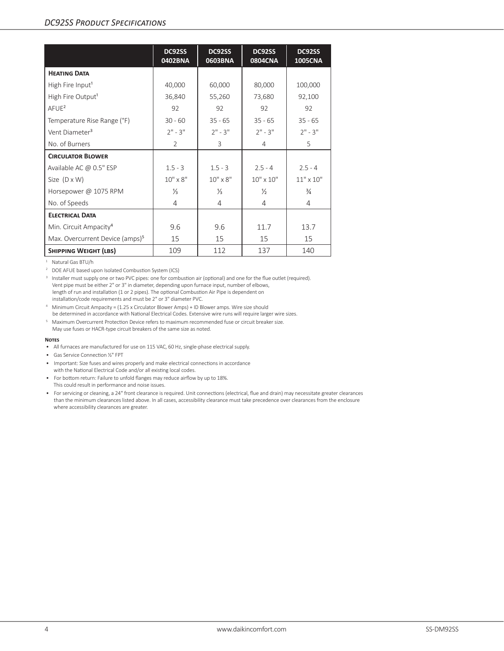# *DC92SS Product Specifications*

|                                             | DC92SS<br>0402BNA | DC92SS<br>0603BNA | DC92SS<br>0804CNA  | DC92SS<br><b>1005CNA</b> |
|---------------------------------------------|-------------------|-------------------|--------------------|--------------------------|
| <b>HEATING DATA</b>                         |                   |                   |                    |                          |
| High Fire Input <sup>1</sup>                | 40,000            | 60,000            | 80,000             | 100,000                  |
| High Fire Output <sup>1</sup>               | 36,840            | 55,260            | 73,680             | 92,100                   |
| $A$ FUE <sup>2</sup>                        | 92                | 92                | 92                 | 92                       |
| Temperature Rise Range (°F)                 | $30 - 60$         | $35 - 65$         | $35 - 65$          | $35 - 65$                |
| Vent Diameter <sup>3</sup>                  | $2" - 3"$         | $2" - 3"$         | $2" - 3"$          | $2" - 3"$                |
| No. of Burners                              | $\overline{2}$    | 3                 | 4                  | 5                        |
| <b>CIRCULATOR BLOWER</b>                    |                   |                   |                    |                          |
| Available AC @ 0.5" ESP                     | $1.5 - 3$         | $1.5 - 3$         | $2.5 - 4$          | $2.5 - 4$                |
| Size $(D \times W)$                         | $10'' \times 8''$ | $10'' \times 8''$ | $10'' \times 10''$ | $11" \times 10"$         |
| Horsepower @ 1075 RPM                       | $\frac{1}{3}$     | ⅓                 | $\frac{1}{2}$      | $\frac{3}{4}$            |
| No. of Speeds                               | 4                 | 4                 | 4                  | 4                        |
| <b>ELECTRICAL DATA</b>                      |                   |                   |                    |                          |
| Min. Circuit Ampacity <sup>4</sup>          | 9.6               | 9.6               | 11.7               | 13.7                     |
| Max. Overcurrent Device (amps) <sup>5</sup> | 15                | 15                | 15                 | 15                       |
| <b>SHIPPING WEIGHT (LBS)</b>                | 109               | 112               | 137                | 140                      |

<sup>1</sup> Natural Gas BTU/h

<sup>2</sup> DOE AFUE based upon Isolated Combustion System (ICS)

<sup>3</sup> Installer must supply one or two PVC pipes: one for combustion air (optional) and one for the flue outlet (required). Vent pipe must be either 2" or 3" in diameter, depending upon furnace input, number of elbows, length of run and installation (1 or 2 pipes). The optional Combustion Air Pipe is dependent on installation/code requirements and must be 2" or 3" diameter PVC.

<sup>4</sup> Minimum Circuit Ampacity = (1.25 x Circulator Blower Amps) + ID Blower amps. Wire size should be determined in accordance with National Electrical Codes. Extensive wire runs will require larger wire sizes.

<sup>5</sup> Maximum Overcurrent Protection Device refers to maximum recommended fuse or circuit breaker size.

May use fuses or HACR-type circuit breakers of the same size as noted.

#### **Notes**

- All furnaces are manufactured for use on 115 VAC, 60 Hz, single-phase electrical supply.
- Gas Service Connection ½" FPT
- Important: Size fuses and wires properly and make electrical connections in accordance with the National Electrical Code and/or all existing local codes.
- For bottom return: Failure to unfold flanges may reduce airflow by up to 18%. This could result in performance and noise issues.
- For servicing or cleaning, a 24" front clearance is required. Unit connections (electrical, flue and drain) may necessitate greater clearances than the minimum clearances listed above. In all cases, accessibility clearance must take precedence over clearances from the enclosure where accessibility clearances are greater.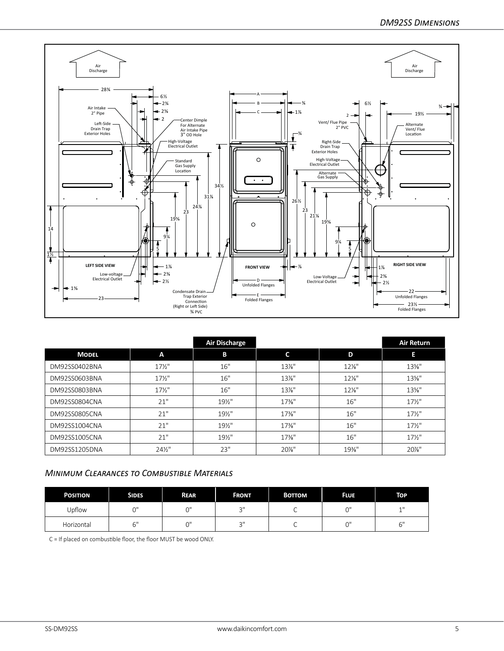

|               |                   | <b>Air Discharge</b> |          |          | <b>Air Return</b> |
|---------------|-------------------|----------------------|----------|----------|-------------------|
| <b>MODEL</b>  | A                 | В                    | C        | D        | Е                 |
| DM92SS0402BNA | $17\frac{1}{2}$   | 16"                  | $13\%$ " | $12\%$ " | $13\%$ "          |
| DM92SS0603BNA | $17\frac{1}{2}$   | 16"                  | $13\%$ " | $12\%$ " | $13\%$ "          |
| DM92SS0803BNA | $17\frac{1}{2}$   | 16"                  | $13\%$ " | $12\%$ " | $13\%$ "          |
| DM92SS0804CNA | 21"               | $19\frac{1}{2}$      | $17\%$ " | 16"      | $17\frac{1}{2}$   |
| DM92SS0805CNA | 21"               | $19\frac{1}{2}$      | $17\%$ " | 16"      | $17\frac{1}{2}$   |
| DM92SS1004CNA | 21"               | $19\frac{1}{2}$      | $17\%$ " | 16"      | $17\frac{1}{2}$   |
| DM92SS1005CNA | 21"               | 19½"                 | $17\%$ " | 16"      | $17\frac{1}{2}$   |
| DM92SS1205DNA | $24\frac{1}{2}$ " | 23"                  | 20%"     | $19\%$ " | 20%"              |

## *Minimum Clearances to Combustible Materials*

| <b>POSITION</b> | <b>SIDES</b> | <b>REAR</b> | <b>FRONT</b>   | <b>BOTTOM</b> | <b>FLUE</b> | <b>TOP</b> |
|-----------------|--------------|-------------|----------------|---------------|-------------|------------|
| Upflow          | $\cap$       | $\bigcap$   | $\bigcap$<br>◡ | ∼             |             | 4 H<br>--  |
| Horizontal      | $\sim$ 11    | $\bigcap$   | $\bigcap$<br>◡ |               |             | rн         |

C = If placed on combustible floor, the floor MUST be wood ONLY.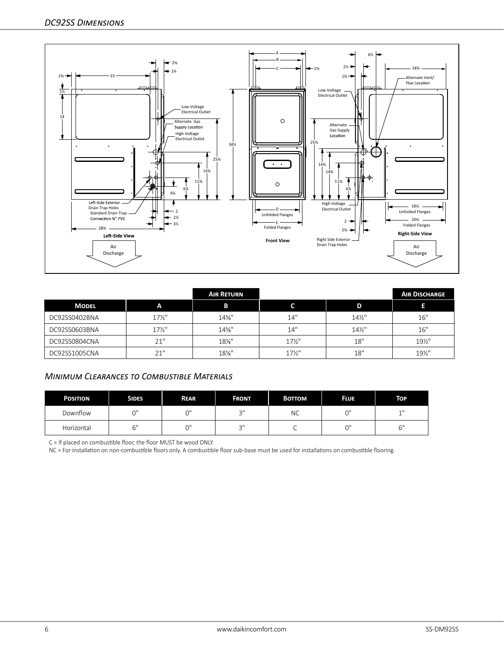

|               |                 | <b>AIR RETURN</b> |                   |                 | <b>AIR DISCHARGE</b> |
|---------------|-----------------|-------------------|-------------------|-----------------|----------------------|
| <b>MODEL</b>  | A               | в                 |                   | D               |                      |
| DC92SS0402BNA | $17\frac{1}{2}$ | 14%"              | 14"               | $14\frac{1}{2}$ | 16"                  |
| DC92SS0603BNA | $17\frac{1}{2}$ | $14\%$ "          | 14"               | $14\frac{1}{2}$ | 16"                  |
| DC92SS0804CNA | 21"             | $18\%$ "          | $17\frac{1}{2}$   | 18"             | 19½"                 |
| DC92SS1005CNA | 21"             | 18%"              | $17\frac{1}{2}$ " | 18"             | 19½"                 |

# *Minimum Clearances to Combustible Materials*

| <b>POSITION</b> | <b>SIDES</b>                  | <b>REAR</b> | <b>FRONT</b>   | <b>BOTTOM</b> | <b>FLUE</b> | TOP.           |
|-----------------|-------------------------------|-------------|----------------|---------------|-------------|----------------|
| Downflow        | $\bigcap$                     | $\bigcap$   | $\bigcap$<br>J | NС            | $\bigcap$   | 11             |
| Horizontal      | $\overline{\phantom{0}}$<br>ັ | יר          | $\sim$<br>ت    |               | $\sim$      | $\sim$ 11<br>ັ |

C = If placed on combustible floor, the floor MUST be wood ONLY.

NC = For installation on non-combustible floors only. A combustible floor sub-base must be used for installations on combustible flooring.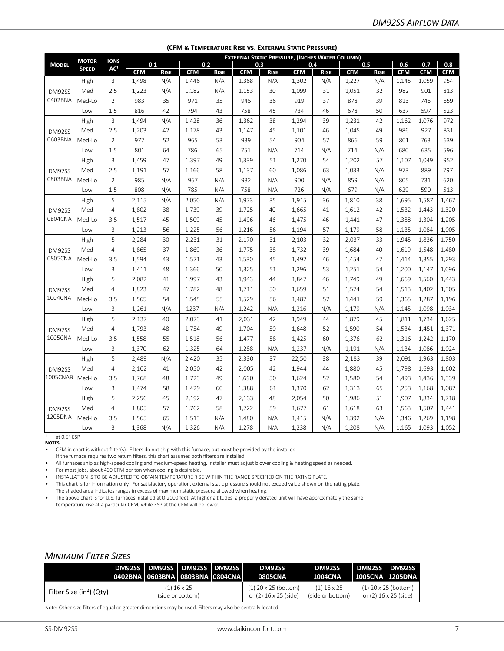|              | <b>МОТОК</b> | <b>TONS</b>     | <b>EXTERNAL STATIC PRESSURE, (INCHES WATER COLUMN)</b> |             |            |             |            |             |            |             |            |             |            |            |            |
|--------------|--------------|-----------------|--------------------------------------------------------|-------------|------------|-------------|------------|-------------|------------|-------------|------------|-------------|------------|------------|------------|
| <b>MODEL</b> | <b>SPEED</b> | AC <sup>1</sup> | 0.1                                                    |             |            | 0.2         | 0.3        |             |            | 0.4         |            | 0.5         | 0.6        | 0.7        | 0.8        |
|              |              |                 | <b>CFM</b>                                             | <b>RISE</b> | <b>CFM</b> | <b>RISE</b> | <b>CFM</b> | <b>RISE</b> | <b>CFM</b> | <b>RISE</b> | <b>CFM</b> | <b>RISE</b> | <b>CFM</b> | <b>CFM</b> | <b>CFM</b> |
|              | High         | 3               | 1,498                                                  | N/A         | 1,446      | N/A         | 1,368      | N/A         | 1,302      | N/A         | 1,227      | N/A         | 1,145      | 1,059      | 954        |
| DM92SS       | Med          | 2.5             | 1,223                                                  | N/A         | 1,182      | N/A         | 1,153      | 30          | 1,099      | 31          | 1,051      | 32          | 982        | 901        | 813        |
| 0402BNA      | Med-Lo       | $\overline{2}$  | 983                                                    | 35          | 971        | 35          | 945        | 36          | 919        | 37          | 878        | 39          | 813        | 746        | 659        |
|              | Low          | 1.5             | 816                                                    | 42          | 794        | 43          | 758        | 45          | 734        | 46          | 678        | 50          | 637        | 597        | 523        |
|              | High         | 3               | 1,494                                                  | N/A         | 1,428      | 36          | 1,362      | 38          | 1,294      | 39          | 1,231      | 42          | 1,162      | 1,076      | 972        |
| DM92SS       | Med          | 2.5             | 1,203                                                  | 42          | 1,178      | 43          | 1,147      | 45          | 1,101      | 46          | 1,045      | 49          | 986        | 927        | 831        |
| 0603BNA      | Med-Lo       | $\overline{2}$  | 977                                                    | 52          | 965        | 53          | 939        | 54          | 904        | 57          | 866        | 59          | 801        | 763        | 639        |
|              | Low          | 1.5             | 801                                                    | 64          | 786        | 65          | 751        | N/A         | 714        | N/A         | 714        | N/A         | 680        | 635        | 596        |
|              | High         | 3               | 1,459                                                  | 47          | 1,397      | 49          | 1,339      | 51          | 1,270      | 54          | 1,202      | 57          | 1,107      | 1,049      | 952        |
| DM92SS       | Med          | 2.5             | 1,191                                                  | 57          | 1,166      | 58          | 1,137      | 60          | 1,086      | 63          | 1,033      | N/A         | 973        | 889        | 797        |
| 0803BNA      | Med-Lo       | $\overline{2}$  | 985                                                    | N/A         | 967        | N/A         | 932        | N/A         | 900        | N/A         | 859        | N/A         | 805        | 731        | 620        |
|              | Low          | 1.5             | 808                                                    | N/A         | 785        | N/A         | 758        | N/A         | 726        | N/A         | 679        | N/A         | 629        | 590        | 513        |
|              | High         | 5               | 2,115                                                  | N/A         | 2,050      | N/A         | 1,973      | 35          | 1,915      | 36          | 1,810      | 38          | 1,695      | 1,587      | 1,467      |
| DM92SS       | Med          | $\overline{4}$  | 1,802                                                  | 38          | 1,739      | 39          | 1,725      | 40          | 1,665      | 41          | 1,612      | 42          | 1,532      | 1,443      | 1,320      |
| 0804CNA      | Med-Lo       | 3.5             | 1,517                                                  | 45          | 1,509      | 45          | 1,496      | 46          | 1,475      | 46          | 1,441      | 47          | 1,388      | 1,304      | 1,205      |
|              | Low          | 3               | 1,213                                                  | 56          | 1,225      | 56          | 1,216      | 56          | 1,194      | 57          | 1,179      | 58          | 1,135      | 1,084      | 1,005      |
|              | High         | 5               | 2,284                                                  | 30          | 2,231      | 31          | 2,170      | 31          | 2,103      | 32          | 2,037      | 33          | 1,945      | 1,836      | 1,750      |
| DM92SS       | Med          | $\overline{4}$  | 1,865                                                  | 37          | 1,869      | 36          | 1,775      | 38          | 1,732      | 39          | 1,684      | 40          | 1,619      | 1,548      | 1,480      |
| 0805CNA      | Med-Lo       | 3.5             | 1,594                                                  | 43          | 1,571      | 43          | 1,530      | 45          | 1,492      | 46          | 1,454      | 47          | 1,414      | 1,355      | 1,293      |
|              | Low          | 3               | 1,411                                                  | 48          | 1,366      | 50          | 1,325      | 51          | 1,296      | 53          | 1,251      | 54          | 1,200      | 1,147      | 1,096      |
|              | High         | 5               | 2,082                                                  | 41          | 1,997      | 43          | 1,943      | 44          | 1,847      | 46          | 1,749      | 49          | 1,669      | 1,560      | 1,443      |
| DM92SS       | Med          | $\overline{4}$  | 1,823                                                  | 47          | 1,782      | 48          | 1,711      | 50          | 1,659      | 51          | 1,574      | 54          | 1,513      | 1,402      | 1,305      |
| 1004CNA      | Med-Lo       | 3.5             | 1,565                                                  | 54          | 1,545      | 55          | 1,529      | 56          | 1,487      | 57          | 1,441      | 59          | 1,365      | 1,287      | 1,196      |
|              | Low          | 3               | 1,261                                                  | N/A         | 1237       | N/A         | 1,242      | N/A         | 1,216      | N/A         | 1,179      | N/A         | 1,145      | 1,098      | 1,034      |
|              | High         | 5               | 2,137                                                  | 40          | 2,073      | 41          | 2,031      | 42          | 1,949      | 44          | 1,879      | 45          | 1,811      | 1,734      | 1,625      |
| DM92SS       | Med          | $\overline{4}$  | 1,793                                                  | 48          | 1,754      | 49          | 1,704      | 50          | 1,648      | 52          | 1,590      | 54          | 1,534      | 1,451      | 1,371      |
| 1005CNA      | Med-Lo       | 3.5             | 1,558                                                  | 55          | 1,518      | 56          | 1,477      | 58          | 1,425      | 60          | 1,376      | 62          | 1,316      | 1,242      | 1,170      |
|              | Low          | 3               | 1,370                                                  | 62          | 1,325      | 64          | 1,288      | N/A         | 1,237      | N/A         | 1,191      | N/A         | 1,134      | 1,086      | 1,024      |
|              | High         | 5               | 2,489                                                  | N/A         | 2,420      | 35          | 2,330      | 37          | 22,50      | 38          | 2,183      | 39          | 2,091      | 1,963      | 1,803      |
| DM92SS       | Med          | $\overline{4}$  | 2,102                                                  | 41          | 2,050      | 42          | 2,005      | 42          | 1,944      | 44          | 1,880      | 45          | 1,798      | 1,693      | 1,602      |
| 1005CNAB     | Med-Lo       | 3.5             | 1,768                                                  | 48          | 1,723      | 49          | 1,690      | 50          | 1,624      | 52          | 1,580      | 54          | 1,493      | 1,436      | 1,339      |
|              | Low          | 3               | 1,474                                                  | 58          | 1,429      | 60          | 1,388      | 61          | 1,370      | 62          | 1,313      | 65          | 1,253      | 1,168      | 1,082      |
|              | High         | 5               | 2,256                                                  | 45          | 2,192      | 47          | 2,133      | 48          | 2,054      | 50          | 1,986      | 51          | 1,907      | 1,834      | 1,718      |
| DM92SS       | Med          | $\overline{4}$  | 1,805                                                  | 57          | 1,762      | 58          | 1,722      | 59          | 1,677      | 61          | 1,618      | 63          | 1,563      | 1,507      | 1,441      |
| 1205DNA      | Med-Lo       | 3.5             | 1,565                                                  | 65          | 1,513      | N/A         | 1,480      | N/A         | 1,415      | N/A         | 1,392      | N/A         | 1,346      | 1,269      | 1,198      |
|              | Low          | 3               | 1,368                                                  | N/A         | 1,326      | N/A         | 1,278      | N/A         | 1,238      | N/A         | 1,208      | N/A         | 1,165      | 1.093      | 1,052      |

**(CFM & Temperature Rise vs. External Static Pressure)**

at 0.5" ESP **Notes**

• CFM in chart is without filter(s). Filters do not ship with this furnace, but must be provided by the installer.

If the furnace requires two return filters, this chart assumes both filters are installed.

• All furnaces ship as high-speed cooling and medium-speed heating. Installer must adjust blower cooling & heating speed as needed.

For most jobs, about 400 CFM per ton when cooling is desirable.

• INSTALLATION IS TO BE ADJUSTED TO OBTAIN TEMPERATURE RISE WITHIN THE RANGE SPECIFIED ON THE RATING PLATE.

• This chart is for information only. For satisfactory operation, external static pressure should not exceed value shown on the rating plate.

The shaded area indicates ranges in excess of maximum static pressure allowed when heating.

• The above chart is for U.S. furnaces installed at 0-2000 feet. At higher altitudes, a properly derated unit will have approximately the same temperature rise at a particular CFM, while ESP at the CFM will be lower.

### *Minimum Filter Sizes*

|                                      | 0402BNA   0603BNA   0803BNA   0804CNA | DM92SS DM92SS DM92SS DM92SS |                                   | DM92SS<br><b>0805CNA</b>                          | <b>DM92SS</b><br>1004CNA          | DM92SS DM92SS<br>  1005CNA   1205DNA |                                                 |
|--------------------------------------|---------------------------------------|-----------------------------|-----------------------------------|---------------------------------------------------|-----------------------------------|--------------------------------------|-------------------------------------------------|
| Filter Size (in <sup>2</sup> ) (Qty) |                                       |                             | $(1)$ 16 x 25<br>(side or bottom) | $(1)$ 20 x 25 (bottom)  <br>or (2) 16 x 25 (side) | $(1)$ 16 x 25<br>(side or bottom) |                                      | $(1)$ 20 x 25 (bottom)<br>or (2) 16 x 25 (side) |

Note: Other size filters of equal or greater dimensions may be used. Filters may also be centrally located.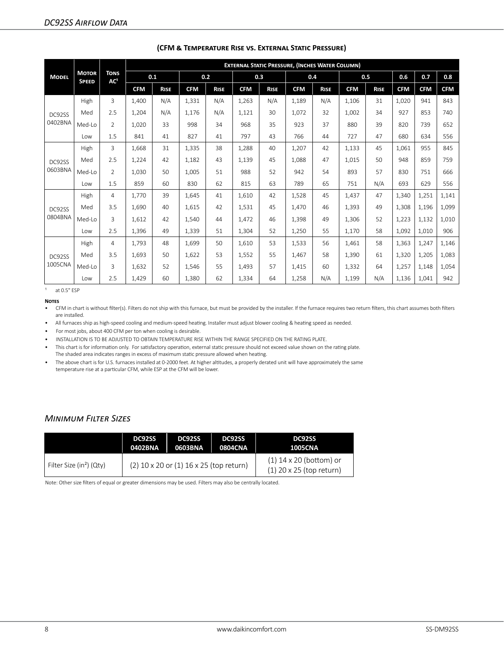|              |                              |                                |            | <b>EXTERNAL STATIC PRESSURE, (INCHES WATER COLUMN)</b> |            |             |            |             |            |             |            |             |            |            |            |
|--------------|------------------------------|--------------------------------|------------|--------------------------------------------------------|------------|-------------|------------|-------------|------------|-------------|------------|-------------|------------|------------|------------|
| <b>MODEL</b> | <b>MOTOR</b><br><b>SPEED</b> | <b>TONS</b><br>AC <sup>1</sup> | 0.1        |                                                        | 0.2        |             | 0.3        |             | 0.4        |             |            | 0.5         | 0.6        | 0.7        | 0.8        |
|              |                              |                                | <b>CFM</b> | <b>RISE</b>                                            | <b>CFM</b> | <b>RISE</b> | <b>CFM</b> | <b>RISE</b> | <b>CFM</b> | <b>RISE</b> | <b>CFM</b> | <b>RISE</b> | <b>CFM</b> | <b>CFM</b> | <b>CFM</b> |
|              | High                         | 3                              | 1.400      | N/A                                                    | 1,331      | N/A         | 1,263      | N/A         | 1.189      | N/A         | 1,106      | 31          | 1.020      | 941        | 843        |
| DC92SS       | Med                          | 2.5                            | 1,204      | N/A                                                    | 1,176      | N/A         | 1,121      | 30          | 1,072      | 32          | 1,002      | 34          | 927        | 853        | 740        |
| 0402BNA      | Med-Lo                       | $\overline{2}$                 | 1,020      | 33                                                     | 998        | 34          | 968        | 35          | 923        | 37          | 880        | 39          | 820        | 739        | 652        |
|              | Low                          | 1.5                            | 841        | 41                                                     | 827        | 41          | 797        | 43          | 766        | 44          | 727        | 47          | 680        | 634        | 556        |
|              | High                         | 3                              | 1,668      | 31                                                     | 1,335      | 38          | 1,288      | 40          | 1,207      | 42          | 1,133      | 45          | 1,061      | 955        | 845        |
| DC92SS       | Med                          | 2.5                            | 1,224      | 42                                                     | 1,182      | 43          | 1,139      | 45          | 1.088      | 47          | 1,015      | 50          | 948        | 859        | 759        |
| 0603BNA      | Med-Lo                       | $\mathfrak{D}$                 | 1.030      | 50                                                     | 1.005      | 51          | 988        | 52          | 942        | 54          | 893        | 57          | 830        | 751        | 666        |
|              | Low                          | 1.5                            | 859        | 60                                                     | 830        | 62          | 815        | 63          | 789        | 65          | 751        | N/A         | 693        | 629        | 556        |
|              | High                         | $\overline{4}$                 | 1.770      | 39                                                     | 1,645      | 41          | 1.610      | 42          | 1,528      | 45          | 1,437      | 47          | 1,340      | 1,251      | 1,141      |
| DC92SS       | Med                          | 3.5                            | 1,690      | 40                                                     | 1,615      | 42          | 1,531      | 45          | 1,470      | 46          | 1,393      | 49          | 1,308      | 1,196      | 1,099      |
| 0804BNA      | Med-Lo                       | 3                              | 1,612      | 42                                                     | 1,540      | 44          | 1,472      | 46          | 1,398      | 49          | 1,306      | 52          | 1,223      | 1,132      | 1,010      |
|              | Low                          | 2.5                            | 1,396      | 49                                                     | 1,339      | 51          | 1,304      | 52          | 1,250      | 55          | 1,170      | 58          | 1,092      | 1,010      | 906        |
|              | High                         | $\overline{4}$                 | 1,793      | 48                                                     | 1,699      | 50          | 1,610      | 53          | 1,533      | 56          | 1,461      | 58          | 1,363      | 1,247      | 1,146      |
| DC92SS       | Med                          | 3.5                            | 1,693      | 50                                                     | 1,622      | 53          | 1,552      | 55          | 1,467      | 58          | 1,390      | 61          | 1,320      | 1,205      | 1,083      |
| 1005CNA      | Med-Lo                       | 3                              | 1.632      | 52                                                     | 1,546      | 55          | 1.493      | 57          | 1,415      | 60          | 1,332      | 64          | 1,257      | 1,148      | 1,054      |
|              | Low                          | 2.5                            | 1,429      | 60                                                     | 1,380      | 62          | 1,334      | 64          | 1,258      | N/A         | 1,199      | N/A         | 1,136      | 1,041      | 942        |

#### **(CFM & Temperature Rise vs. External Static Pressure)**

 $1$  at 0.5" ESP

#### **Notes**

• CFM in chart is without filter(s). Filters do not ship with this furnace, but must be provided by the installer. If the furnace requires two return filters, this chart assumes both filters are installed.

• All furnaces ship as high-speed cooling and medium-speed heating. Installer must adjust blower cooling & heating speed as needed.

• For most jobs, about 400 CFM per ton when cooling is desirable.

• INSTALLATION IS TO BE ADJUSTED TO OBTAIN TEMPERATURE RISE WITHIN THE RANGE SPECIFIED ON THE RATING PLATE.

• This chart is for information only. For satisfactory operation, external static pressure should not exceed value shown on the rating plate.

The shaded area indicates ranges in excess of maximum static pressure allowed when heating.

• The above chart is for U.S. furnaces installed at 0-2000 feet. At higher altitudes, a properly derated unit will have approximately the same temperature rise at a particular CFM, while ESP at the CFM will be lower.

## *Minimum Filter Sizes*

|                                      | DC92SS  | DC92SS                                  | DC92SS  | DC92SS                                                  |
|--------------------------------------|---------|-----------------------------------------|---------|---------------------------------------------------------|
|                                      | 0402BNA | 0603BNA                                 | 0804CNA | <b>1005CNA</b>                                          |
| Filter Size (in <sup>2</sup> ) (Qty) |         | (2) 10 x 20 or (1) 16 x 25 (top return) |         | $(1)$ 14 x 20 (bottom) or<br>$(1)$ 20 x 25 (top return) |

Note: Other size filters of equal or greater dimensions may be used. Filters may also be centrally located.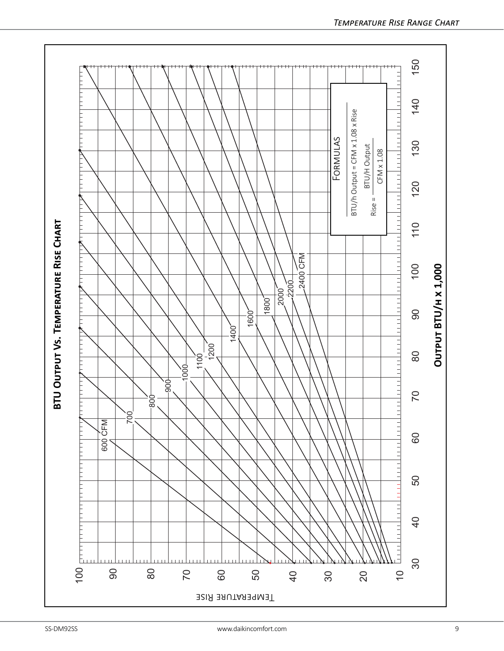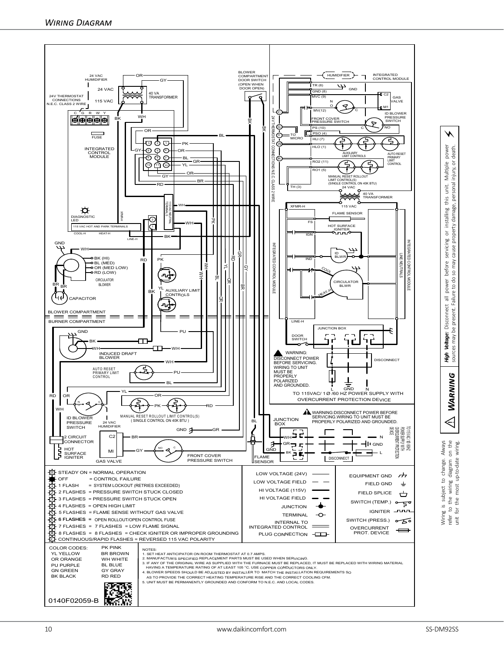

refer to the wiring diagram on the unit for the most up-to-date wiring.

the  $\overline{t}$ 

 $\begin{array}{c} 10 \\ 0 \\ 0 \end{array}$ 

refer<br>unit

 $\triangleleft$ 

**WARNING** 

Warning **Warning or Bigh Voltage:** Disconnect all power before servicing or installing this unit. Multiple power sources may be present. Failure to do so may cause property damage, personal injury, or death.

to do: power

present. **B Voltage:** 

⚡

power<br>death.  $\rm \overleftarrow{\rm o}$ Multiple injury, o

unit. personal

this

installing  $\rm \overline{o}$ servicing property damage,

cause

may before  $S<sub>O</sub>$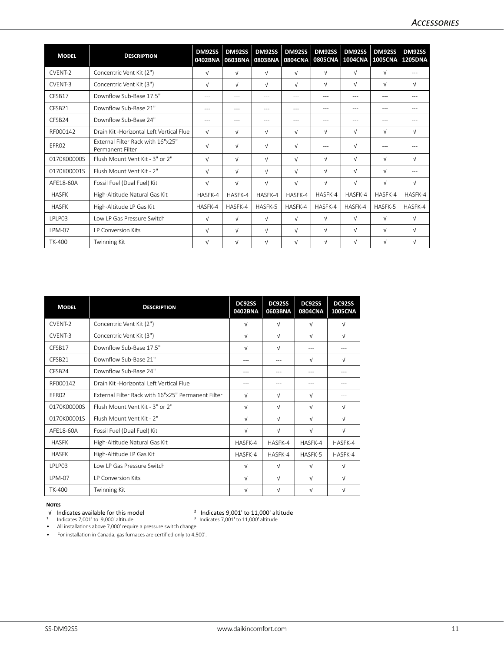| <b>MODEL</b>       | <b>DESCRIPTION</b>                                           | DM92SS<br>0402BNA | DM92SS<br>0603BNA | DM92SS<br>0803BNA | DM92SS<br>0804CNA | DM92SS<br><b>0805CNA</b> | DM92SS<br>1004CNA | <b>DM92SS</b><br>1005CNA 1205DNA | DM92SS     |
|--------------------|--------------------------------------------------------------|-------------------|-------------------|-------------------|-------------------|--------------------------|-------------------|----------------------------------|------------|
| CVFNT-2            | Concentric Vent Kit (2")                                     | $\sqrt{ }$        | $\sqrt{ }$        | $\sqrt{ }$        | $\sqrt{ }$        | $\sqrt{ }$               | $\sqrt{ }$        | $\sqrt{ }$                       | ---        |
| CVENT-3            | Concentric Vent Kit (3")                                     | $\sqrt{ }$        | $\sqrt{ }$        | $\sqrt{ }$        | $\sqrt{ }$        | $\sqrt{ }$               | $\sqrt{ }$        | $\sqrt{ }$                       | $\sqrt{ }$ |
| CFSB17             | Downflow Sub-Base 17.5"                                      | $---$             | ---               | $---$             | $---$             | $---$                    | ---               | $---$                            | $---$      |
| CFSB21             | Downflow Sub-Base 21"                                        | $---$             | ---               | ---               | ---               | $---$                    | $---$             | $---$                            | ---        |
| CFSB <sub>24</sub> | Downflow Sub-Base 24"                                        | $---$             | ---               | ---               | ---               | ---                      | ---               | ---                              |            |
| RF000142           | Drain Kit -Horizontal Left Vertical Flue                     | $\sqrt{ }$        | $\sqrt{ }$        | $\sqrt{ }$        | $\sqrt{ }$        | $\sqrt{ }$               | $\sqrt{ }$        | $\sqrt{ }$                       | $\sqrt{ }$ |
| FFR02              | <b>External Filter Rack with 16"x25"</b><br>Permanent Filter | $\sqrt{ }$        | $\sqrt{ }$        | $\sqrt{ }$        | $\sqrt{ }$        | $---$                    | $\sqrt{ }$        | $---$                            | ---        |
| 0170K00000S        | Flush Mount Vent Kit - 3" or 2"                              | $\sqrt{ }$        | $\sqrt{ }$        | $\sqrt{ }$        | $\sqrt{ }$        | $\sqrt{ }$               | $\sqrt{ }$        | $\sqrt{ }$                       | $\sqrt{ }$ |
| 0170K00001S        | Flush Mount Vent Kit - 2"                                    | $\sqrt{ }$        | $\sqrt{ }$        | $\sqrt{ }$        | $\sqrt{ }$        | $\sqrt{ }$               | $\sqrt{ }$        | $\sqrt{ }$                       | $---$      |
| AFF18-60A          | Fossil Fuel (Dual Fuel) Kit                                  | $\sqrt{ }$        | $\sqrt{ }$        | $\sqrt{ }$        | $\sqrt{ }$        | $\sqrt{ }$               | $\sqrt{ }$        | $\sqrt{ }$                       | $\sqrt{ }$ |
| <b>HASFK</b>       | High-Altitude Natural Gas Kit                                | HASFK-4           | HASFK-4           | HASFK-4           | HASFK-4           | HASFK-4                  | HASFK-4           | HASFK-4                          | HASFK-4    |
| <b>HASFK</b>       | High-Altitude LP Gas Kit                                     | HASFK-4           | HASFK-4           | HASFK-5           | HASFK-4           | HASFK-4                  | HASFK-4           | HASFK-5                          | HASFK-4    |
| LPLP03             | Low LP Gas Pressure Switch                                   | $\sqrt{ }$        | $\sqrt{ }$        | $\sqrt{ }$        | $\sqrt{ }$        | $\sqrt{ }$               | $\sqrt{ }$        | $\sqrt{ }$                       | $\sqrt{ }$ |
| <b>LPM-07</b>      | <b>IP Conversion Kits</b>                                    | $\sqrt{ }$        | $\sqrt{ }$        | $\sqrt{ }$        | $\sqrt{ }$        | $\sqrt{ }$               | $\sqrt{ }$        | $\sqrt{ }$                       | $\sqrt{ }$ |
| <b>TK-400</b>      | Twinning Kit                                                 | $\sqrt{ }$        | $\sqrt{ }$        | $\sqrt{ }$        | $\sqrt{ }$        | $\sqrt{ }$               | V                 | $\sqrt{ }$                       | $\sqrt{ }$ |

| <b>MODEL</b>       | <b>DESCRIPTION</b>                                 | DC92SS<br>0402BNA | DC92SS<br>0603BNA | DC92SS<br>0804CNA | DC92SS<br><b>1005CNA</b> |
|--------------------|----------------------------------------------------|-------------------|-------------------|-------------------|--------------------------|
| CVENT-2            | Concentric Vent Kit (2")                           | $\sqrt{ }$        | $\sqrt{ }$        | $\sqrt{ }$        | $\sqrt{ }$               |
| CVENT-3            | Concentric Vent Kit (3")                           | $\sqrt{ }$        | $\sqrt{ }$        | $\sqrt{ }$        | $\sqrt{ }$               |
| CFSB17             | Downflow Sub-Base 17.5"                            | $\sqrt{ }$        | $\sqrt{ }$        | $---$             |                          |
| CFSB21             | Downflow Sub-Base 21"                              | ---               | $---$             | $\sqrt{}$         | $\sqrt{ }$               |
| CFSB <sub>24</sub> | Downflow Sub-Base 24"                              | ---               | ---               | $---$             | $---$                    |
| RF000142           | Drain Kit -Horizontal Left Vertical Flue           | ---               | ---               |                   |                          |
| FFR02              | External Filter Rack with 16"x25" Permanent Filter | $\sqrt{ }$        | $\sqrt{ }$        | $\sqrt{ }$        |                          |
| 0170K00000S        | Flush Mount Vent Kit - 3" or 2"                    | $\sqrt{ }$        | V                 | $\sqrt{ }$        | $\sqrt{ }$               |
| 0170K00001S        | Flush Mount Vent Kit - 2"                          | $\sqrt{ }$        | $\sqrt{ }$        | $\sqrt{ }$        | $\sqrt{ }$               |
| AFF18-60A          | Fossil Fuel (Dual Fuel) Kit                        | $\sqrt{ }$        | $\sqrt{ }$        | $\sqrt{ }$        | $\sqrt{ }$               |
| <b>HASFK</b>       | High-Altitude Natural Gas Kit                      | HASFK-4           | HASFK-4           | HASFK-4           | HASFK-4                  |
| <b>HASFK</b>       | High-Altitude LP Gas Kit                           | HASFK-4           | HASFK-4           | HASFK-5           | HASFK-4                  |
| <b>IPIP03</b>      | Low LP Gas Pressure Switch                         | $\sqrt{ }$        | $\sqrt{ }$        | $\sqrt{ }$        | $\sqrt{ }$               |
| <b>LPM-07</b>      | <b>IP Conversion Kits</b>                          | $\sqrt{ }$        | $\sqrt{ }$        | $\sqrt{ }$        | $\sqrt{ }$               |
| <b>TK-400</b>      | Twinning Kit                                       | $\sqrt{ }$        | $\sqrt{ }$        | $\sqrt{ }$        | $\sqrt{ }$               |

# **NOTES**<br> **V** Indicates available for this model

<sup>1</sup> Indicates 7,001' to 9,000' altitude  $3 \text{ Indicates } 7,001$ ' to  $11,000$ ' altitude

- <sup>2</sup> Indicates  $9,001'$  to  $11,000'$  altitude<br><sup>3</sup> Indicates 7,001' to 11,000' altitude
- 
- All installations above 7,000' require a pressure switch change.
- For installation in Canada, gas furnaces are certified only to 4,500'.